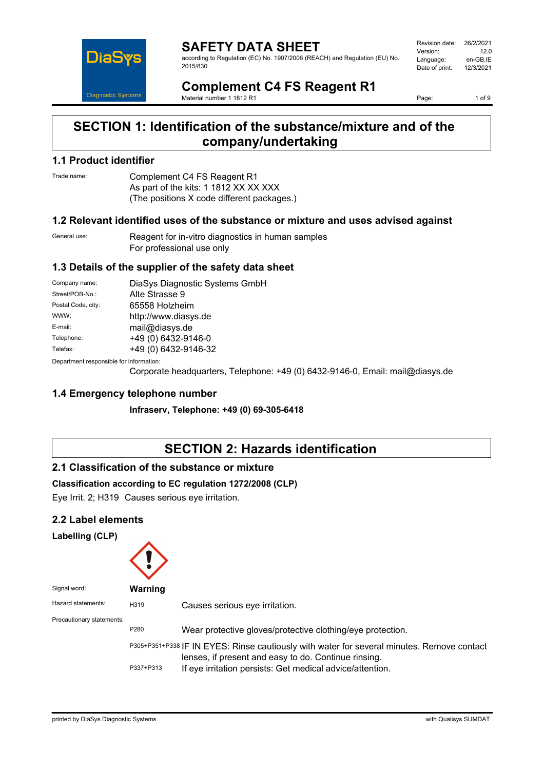

**SAFETY DATA SHEET** according to Regulation (EC) No. 1907/2006 (REACH) and Regulation (EU) No. 2015/830

Revision date: 26/2/2021<br>Version: 12.0 Version:<br>Language: en-GB,IE<br>12/3/2021 Date of print:

# **Complement C4 FS Reagent R1**

Material number 1 1812 R1

Page: 1 of 9

# **SECTION 1: Identification of the substance/mixture and of the company/undertaking**

## **1.1 Product identifier**

Trade name: Complement C4 FS Reagent R1 As part of the kits: 1 1812 XX XX XXX (The positions X code different packages.)

### **1.2 Relevant identified uses of the substance or mixture and uses advised against**

General use: Reagent for in-vitro diagnostics in human samples For professional use only

## **1.3 Details of the supplier of the safety data sheet**

| Company name:                           | DiaSys Diagnostic Systems GmbH |  |
|-----------------------------------------|--------------------------------|--|
| Street/POB-No.:                         | Alte Strasse 9                 |  |
| Postal Code, city:                      | 65558 Holzheim                 |  |
| WWW:                                    | http://www.diasys.de           |  |
| E-mail:                                 | mail@diasys.de                 |  |
| Telephone:                              | +49 (0) 6432-9146-0            |  |
| Telefax:                                | +49 (0) 6432-9146-32           |  |
| Donortmont rooponsible for information: |                                |  |

Department responsible fo

Corporate headquarters, Telephone: +49 (0) 6432-9146-0, Email: mail@diasys.de

## **1.4 Emergency telephone number**

**Infraserv, Telephone: +49 (0) 69-305-6418**

# **SECTION 2: Hazards identification**

## **2.1 Classification of the substance or mixture**

### **Classification according to EC regulation 1272/2008 (CLP)**

Eye Irrit. 2; H319 Causes serious eye irritation.

## **2.2 Label elements**

#### **Labelling (CLP)**

| Signal word:              | Warning   |                                                                                                                                                    |
|---------------------------|-----------|----------------------------------------------------------------------------------------------------------------------------------------------------|
| Hazard statements:        | H319      | Causes serious eye irritation.                                                                                                                     |
| Precautionary statements: |           |                                                                                                                                                    |
|                           | P280      | Wear protective gloves/protective clothing/eye protection.                                                                                         |
|                           |           | P305+P351+P338 IF IN EYES: Rinse cautiously with water for several minutes. Remove contact<br>lenses, if present and easy to do. Continue rinsing. |
|                           | P337+P313 | If eye irritation persists: Get medical advice/attention.                                                                                          |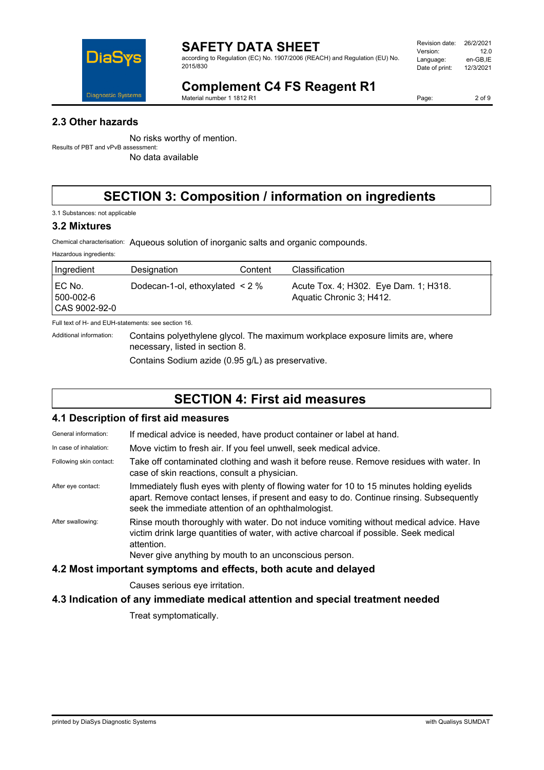

according to Regulation (EC) No. 1907/2006 (REACH) and Regulation (EU) No. 2015/830

| Revision date: | 26/2/2021 |
|----------------|-----------|
| Version:       | 12 O      |
| Language:      | en-GB.IE  |
| Date of print: | 12/3/2021 |
|                |           |

# **Complement C4 FS Reagent R1**

Material number 1 1812 R1

Page: 2 of 9

## **2.3 Other hazards**

No risks worthy of mention. Results of PBT and vPvB assessment:

No data available

# **SECTION 3: Composition / information on ingredients**

3.1 Substances: not applicable

### **3.2 Mixtures**

Hazardous ingredients:

Chemical characterisation: Aqueous solution of inorganic salts and organic compounds.

| Ingredient                           | Designation                          | Content | Classification                                                    |
|--------------------------------------|--------------------------------------|---------|-------------------------------------------------------------------|
| EC No.<br>500-002-6<br>CAS 9002-92-0 | Dodecan-1-ol, ethoxylated $\leq 2\%$ |         | Acute Tox. 4; H302. Eye Dam. 1; H318.<br>Aquatic Chronic 3; H412. |

Full text of H- and EUH-statements: see section 16.

Additional information: Contains polyethylene glycol. The maximum workplace exposure limits are, where necessary, listed in section 8.

Contains Sodium azide (0.95 g/L) as preservative.

# **SECTION 4: First aid measures**

## **4.1 Description of first aid measures**

General information: If medical advice is needed, have product container or label at hand.

In case of inhalation: Move victim to fresh air. If you feel unwell, seek medical advice.

Following skin contact: Take off contaminated clothing and wash it before reuse. Remove residues with water. In case of skin reactions, consult a physician.

After eye contact: Immediately flush eyes with plenty of flowing water for 10 to 15 minutes holding eyelids apart. Remove contact lenses, if present and easy to do. Continue rinsing. Subsequently seek the immediate attention of an ophthalmologist.

After swallowing: Rinse mouth thoroughly with water. Do not induce vomiting without medical advice. Have victim drink large quantities of water, with active charcoal if possible. Seek medical attention.

Never give anything by mouth to an unconscious person.

## **4.2 Most important symptoms and effects, both acute and delayed**

Causes serious eye irritation.

## **4.3 Indication of any immediate medical attention and special treatment needed**

Treat symptomatically.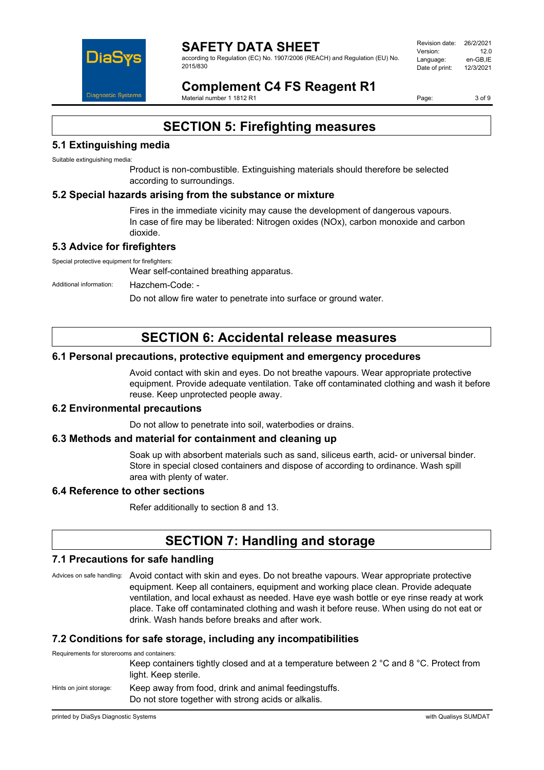

according to Regulation (EC) No. 1907/2006 (REACH) and Regulation (EU) No. 2015/830

Revision date: 26/2/2021 Version: 12.0<br>I anguage: مصر en-GB IE Language: en-GB,IE<br>Date of print: 12/3/2021 Date of print:

**Complement C4 FS Reagent R1** Material number 1 1812 R1

Page: 3 of 9

# **SECTION 5: Firefighting measures**

## **5.1 Extinguishing media**

Suitable extinguishing media:

Product is non-combustible. Extinguishing materials should therefore be selected according to surroundings.

### **5.2 Special hazards arising from the substance or mixture**

Fires in the immediate vicinity may cause the development of dangerous vapours. In case of fire may be liberated: Nitrogen oxides (NOx), carbon monoxide and carbon dioxide.

## **5.3 Advice for firefighters**

Special protective equipment for firefighters:

Wear self-contained breathing apparatus.

Additional information: Hazchem-Code: -

Do not allow fire water to penetrate into surface or ground water.

# **SECTION 6: Accidental release measures**

### **6.1 Personal precautions, protective equipment and emergency procedures**

Avoid contact with skin and eyes. Do not breathe vapours. Wear appropriate protective equipment. Provide adequate ventilation. Take off contaminated clothing and wash it before reuse. Keep unprotected people away.

### **6.2 Environmental precautions**

Do not allow to penetrate into soil, waterbodies or drains.

### **6.3 Methods and material for containment and cleaning up**

Soak up with absorbent materials such as sand, siliceus earth, acid- or universal binder. Store in special closed containers and dispose of according to ordinance. Wash spill area with plenty of water.

### **6.4 Reference to other sections**

Refer additionally to section 8 and 13.

# **SECTION 7: Handling and storage**

### **7.1 Precautions for safe handling**

Advices on safe handling: Avoid contact with skin and eyes. Do not breathe vapours. Wear appropriate protective equipment. Keep all containers, equipment and working place clean. Provide adequate ventilation, and local exhaust as needed. Have eye wash bottle or eye rinse ready at work place. Take off contaminated clothing and wash it before reuse. When using do not eat or drink. Wash hands before breaks and after work.

## **7.2 Conditions for safe storage, including any incompatibilities**

Requirements for storerooms and containers:

Keep containers tightly closed and at a temperature between 2 °C and 8 °C. Protect from light. Keep sterile.

Hints on joint storage: Keep away from food, drink and animal feedingstuffs. Do not store together with strong acids or alkalis.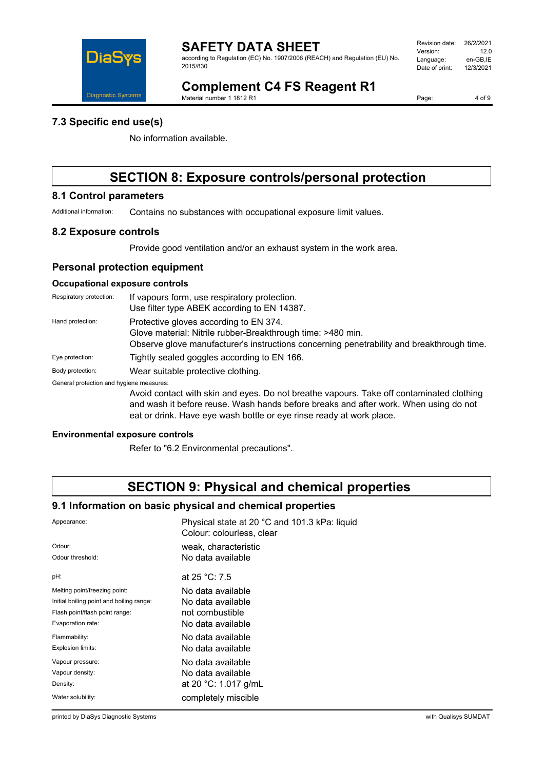

according to Regulation (EC) No. 1907/2006 (REACH) and Regulation (EU) No. 2015/830

| Revision date: | 26/2/2021 |
|----------------|-----------|
| Version:       | 12 በ      |
| Language:      | en-GB.IE  |
| Date of print: | 12/3/2021 |
|                |           |

# **Complement C4 FS Reagent R1**

Material number 1 1812 R1

Page: 4 of 9

### **7.3 Specific end use(s)**

No information available.

# **SECTION 8: Exposure controls/personal protection**

## **8.1 Control parameters**

Additional information: Contains no substances with occupational exposure limit values.

### **8.2 Exposure controls**

Provide good ventilation and/or an exhaust system in the work area.

### **Personal protection equipment**

### **Occupational exposure controls**

| Respiratory protection:                  | If vapours form, use respiratory protection.<br>Use filter type ABEK according to EN 14387.                                                                                                                                                              |
|------------------------------------------|----------------------------------------------------------------------------------------------------------------------------------------------------------------------------------------------------------------------------------------------------------|
| Hand protection:                         | Protective gloves according to EN 374.<br>Glove material: Nitrile rubber-Breakthrough time: >480 min.<br>Observe glove manufacturer's instructions concerning penetrability and breakthrough time.                                                       |
| Eye protection:                          | Tightly sealed goggles according to EN 166.                                                                                                                                                                                                              |
| Body protection:                         | Wear suitable protective clothing.                                                                                                                                                                                                                       |
| General protection and hygiene measures: |                                                                                                                                                                                                                                                          |
|                                          | Avoid contact with skin and eyes. Do not breathe vapours. Take off contaminated clothing<br>and wash it before reuse. Wash hands before breaks and after work. When using do not<br>eat or drink. Have eye wash bottle or eye rinse ready at work place. |

#### **Environmental exposure controls**

Refer to "6.2 Environmental precautions".

# **SECTION 9: Physical and chemical properties**

### **9.1 Information on basic physical and chemical properties**

| Appearance:                              | Physical state at 20 °C and 101.3 kPa: liquid<br>Colour: colourless, clear |
|------------------------------------------|----------------------------------------------------------------------------|
| Odour:                                   | weak, characteristic                                                       |
| Odour threshold:                         | No data available                                                          |
| pH:                                      | at 25 °C: 7.5                                                              |
| Melting point/freezing point:            | No data available                                                          |
| Initial boiling point and boiling range: | No data available                                                          |
| Flash point/flash point range:           | not combustible                                                            |
| Evaporation rate:                        | No data available                                                          |
| Flammability:                            | No data available                                                          |
| Explosion limits:                        | No data available                                                          |
| Vapour pressure:                         | No data available                                                          |
| Vapour density:                          | No data available                                                          |
| Density:                                 | at 20 °C: 1.017 g/mL                                                       |
| Water solubility:                        | completely miscible                                                        |

printed by DiaSys Diagnostic Systems with Qualisys SUMDAT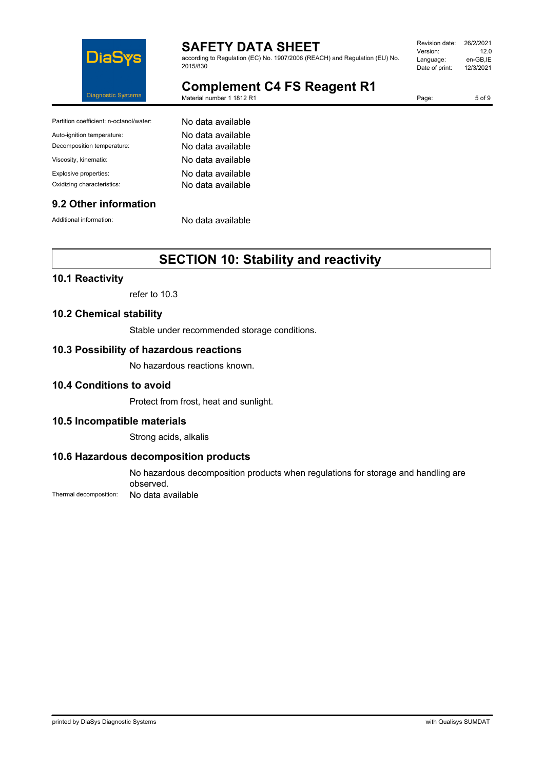

according to Regulation (EC) No. 1907/2006 (REACH) and Regulation (EU) No. 2015/830

| Revision date: | 26/2/2021 |
|----------------|-----------|
| Version:       | 12 O      |
| Language:      | en-GB.IE  |
| Date of print: | 12/3/2021 |
|                |           |

# **Complement C4 FS Reagent R1**

Material number 1 1812 R1

Page: 5 of 9

| Partition coefficient: n-octanol/water: | No data available |
|-----------------------------------------|-------------------|
| Auto-ignition temperature:              | No data available |
| Decomposition temperature:              | No data available |
| Viscosity, kinematic:                   | No data available |
| Explosive properties:                   | No data available |
| Oxidizing characteristics:              | No data available |

### **9.2 Other information**

Additional information: No data available

# **SECTION 10: Stability and reactivity**

## **10.1 Reactivity**

refer to 10.3

## **10.2 Chemical stability**

Stable under recommended storage conditions.

### **10.3 Possibility of hazardous reactions**

No hazardous reactions known.

### **10.4 Conditions to avoid**

Protect from frost, heat and sunlight.

### **10.5 Incompatible materials**

Strong acids, alkalis

### **10.6 Hazardous decomposition products**

No hazardous decomposition products when regulations for storage and handling are observed.

Thermal decomposition: No data available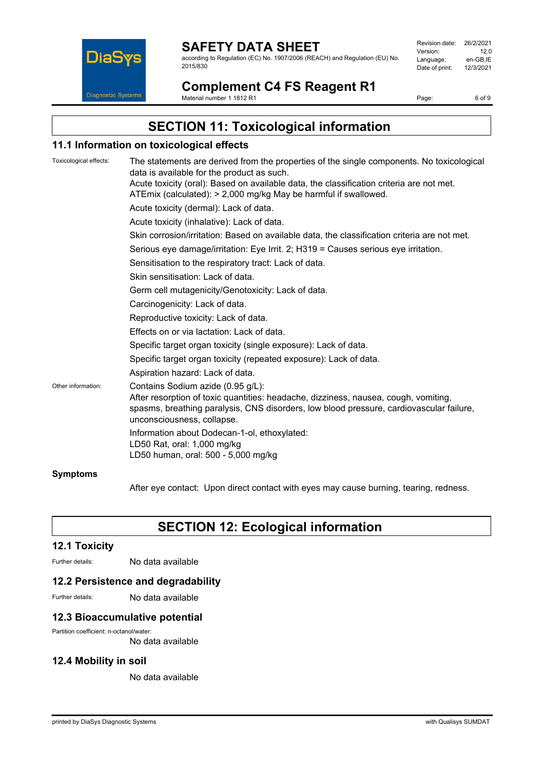

according to Regulation (EC) No. 1907/2006 (REACH) and Regulation (EU) No. 2015/830

| Revision date: | 26/2/2021 |
|----------------|-----------|
| Version:       | 12 O      |
| Language:      | en-GB.IE  |
| Date of print: | 12/3/2021 |
|                |           |

**Complement C4 FS Reagent R1** Material number 1 1812 R1

Page: 6 of 9

# **SECTION 11: Toxicological information**

### **11.1 Information on toxicological effects**

| Toxicological effects: | The statements are derived from the properties of the single components. No toxicological<br>data is available for the product as such.                                                                                                           |
|------------------------|---------------------------------------------------------------------------------------------------------------------------------------------------------------------------------------------------------------------------------------------------|
|                        | Acute toxicity (oral): Based on available data, the classification criteria are not met.<br>ATEmix (calculated): > 2,000 mg/kg May be harmful if swallowed.                                                                                       |
|                        | Acute toxicity (dermal): Lack of data.                                                                                                                                                                                                            |
|                        | Acute toxicity (inhalative): Lack of data.                                                                                                                                                                                                        |
|                        | Skin corrosion/irritation: Based on available data, the classification criteria are not met.                                                                                                                                                      |
|                        | Serious eye damage/irritation: Eye Irrit. 2; H319 = Causes serious eye irritation.                                                                                                                                                                |
|                        | Sensitisation to the respiratory tract: Lack of data.                                                                                                                                                                                             |
|                        | Skin sensitisation: Lack of data.                                                                                                                                                                                                                 |
|                        | Germ cell mutagenicity/Genotoxicity: Lack of data.                                                                                                                                                                                                |
|                        | Carcinogenicity: Lack of data.                                                                                                                                                                                                                    |
|                        | Reproductive toxicity: Lack of data.                                                                                                                                                                                                              |
|                        | Effects on or via lactation: Lack of data.                                                                                                                                                                                                        |
|                        | Specific target organ toxicity (single exposure): Lack of data.                                                                                                                                                                                   |
|                        | Specific target organ toxicity (repeated exposure): Lack of data.                                                                                                                                                                                 |
|                        | Aspiration hazard: Lack of data.                                                                                                                                                                                                                  |
| Other information:     | Contains Sodium azide (0.95 g/L):<br>After resorption of toxic quantities: headache, dizziness, nausea, cough, vomiting,<br>spasms, breathing paralysis, CNS disorders, low blood pressure, cardiovascular failure,<br>unconsciousness, collapse. |
|                        | Information about Dodecan-1-ol, ethoxylated:<br>LD50 Rat, oral: 1,000 mg/kg<br>LD50 human, oral: 500 - 5,000 mg/kg                                                                                                                                |
| <b>Symptoms</b>        |                                                                                                                                                                                                                                                   |

After eye contact: Upon direct contact with eyes may cause burning, tearing, redness.

# **SECTION 12: Ecological information**

### **12.1 Toxicity**

Further details: No data available

### **12.2 Persistence and degradability**

Further details: No data available

### **12.3 Bioaccumulative potential**

Partition coefficient: n-octanol/water:

No data available

### **12.4 Mobility in soil**

No data available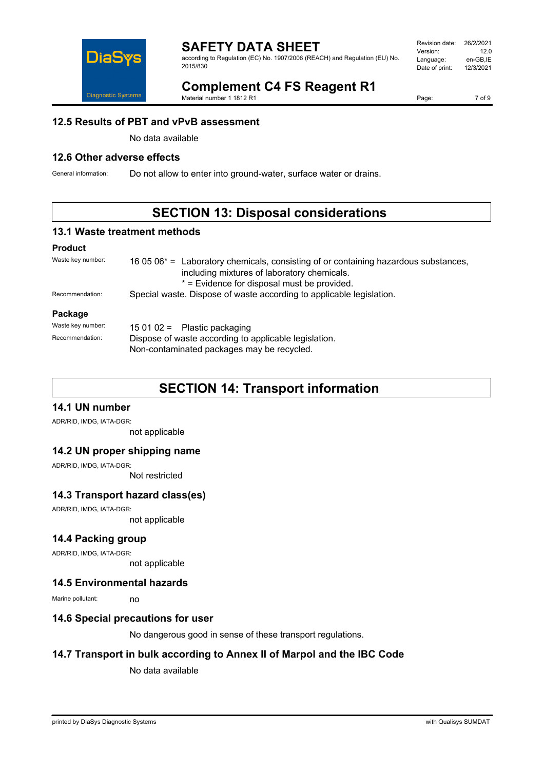

according to Regulation (EC) No. 1907/2006 (REACH) and Regulation (EU) No. 2015/830

| Revision date: | 26/2/2021 |
|----------------|-----------|
| Version:       | 12 O      |
| Language:      | en-GB.IE  |
| Date of print: | 12/3/2021 |
|                |           |

# **Complement C4 FS Reagent R1**

Material number 1 1812 R1

Page: 7 of 9

### **12.5 Results of PBT and vPvB assessment**

No data available

## **12.6 Other adverse effects**

General information: Do not allow to enter into ground-water, surface water or drains.

# **SECTION 13: Disposal considerations**

### **13.1 Waste treatment methods**

#### **Product**

| Waste key number: | 16 05 $06*$ = Laboratory chemicals, consisting of or containing hazardous substances,<br>including mixtures of laboratory chemicals.<br>* = Evidence for disposal must be provided. |  |
|-------------------|-------------------------------------------------------------------------------------------------------------------------------------------------------------------------------------|--|
| Recommendation:   | Special waste. Dispose of waste according to applicable legislation.                                                                                                                |  |
| Package           |                                                                                                                                                                                     |  |
| Waste key number: | 15 01 02 = Plastic packaging                                                                                                                                                        |  |
| Recommendation:   | Dispose of waste according to applicable legislation.<br>Non-contaminated packages may be recycled.                                                                                 |  |

# **SECTION 14: Transport information**

## **14.1 UN number**

ADR/RID, IMDG, IATA-DGR:

not applicable

### **14.2 UN proper shipping name**

ADR/RID, IMDG, IATA-DGR:

Not restricted

### **14.3 Transport hazard class(es)**

ADR/RID, IMDG, IATA-DGR:

not applicable

### **14.4 Packing group**

ADR/RID, IMDG, IATA-DGR:

not applicable

### **14.5 Environmental hazards**

Marine pollutant: no

### **14.6 Special precautions for user**

No dangerous good in sense of these transport regulations.

## **14.7 Transport in bulk according to Annex II of Marpol and the IBC Code**

No data available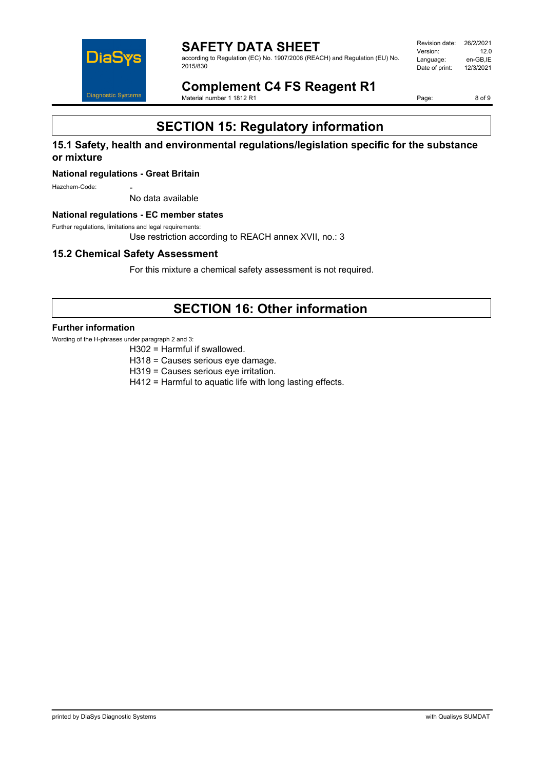

**SAFETY DATA SHEET** according to Regulation (EC) No. 1907/2006 (REACH) and Regulation (EU) No. 2015/830

Revision date: 26/2/2021<br>Version: 12.0 Version: 12.0<br>Language: en-GB,IE Language: en-GB,IE<br>Date of print: 12/3/2021 Date of print:

**Complement C4 FS Reagent R1** Material number 1 1812 R1

Page: 8 of 9

# **SECTION 15: Regulatory information**

### **15.1 Safety, health and environmental regulations/legislation specific for the substance or mixture**

#### **National regulations - Great Britain**

Hazchem-Code:

No data available

#### **National regulations - EC member states**

Further regulations, limitations and legal requirements:

Use restriction according to REACH annex XVII, no.: 3

### **15.2 Chemical Safety Assessment**

For this mixture a chemical safety assessment is not required.

# **SECTION 16: Other information**

#### **Further information**

Wording of the H-phrases under paragraph 2 and 3:

H302 = Harmful if swallowed.

- H318 = Causes serious eye damage.
- H319 = Causes serious eye irritation.
- H412 = Harmful to aquatic life with long lasting effects.